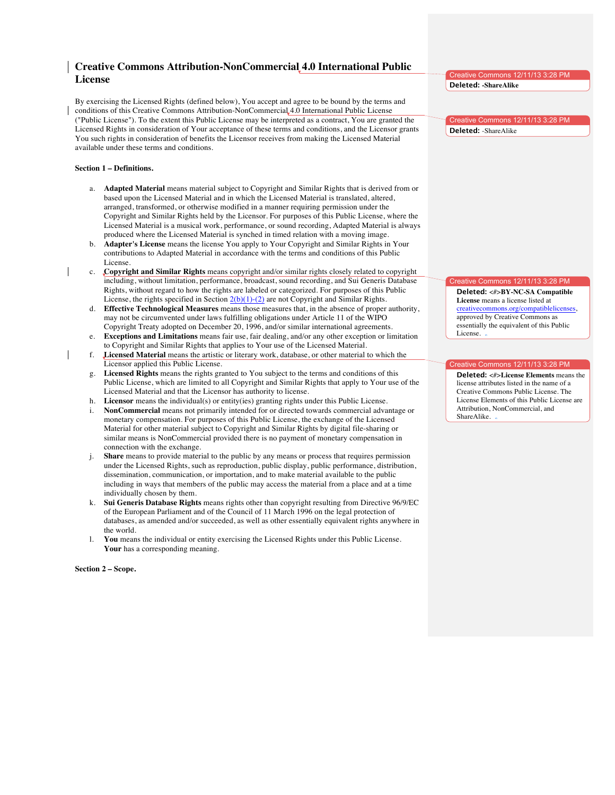# **Creative Commons Attribution-NonCommercial 4.0 International Public License**

By exercising the Licensed Rights (defined below), You accept and agree to be bound by the terms and conditions of this Creative Commons Attribution-NonCommercial 4.0 International Public License ("Public License"). To the extent this Public License may be interpreted as a contract, You are granted the Licensed Rights in consideration of Your acceptance of these terms and conditions, and the Licensor grants You such rights in consideration of benefits the Licensor receives from making the Licensed Material available under these terms and conditions.

### **Section 1 – Definitions.**

- a. **Adapted Material** means material subject to Copyright and Similar Rights that is derived from or based upon the Licensed Material and in which the Licensed Material is translated, altered, arranged, transformed, or otherwise modified in a manner requiring permission under the Copyright and Similar Rights held by the Licensor. For purposes of this Public License, where the Licensed Material is a musical work, performance, or sound recording, Adapted Material is always produced where the Licensed Material is synched in timed relation with a moving image.
- b. **Adapter's License** means the license You apply to Your Copyright and Similar Rights in Your contributions to Adapted Material in accordance with the terms and conditions of this Public License.
- c. **Copyright and Similar Rights** means copyright and/or similar rights closely related to copyright including, without limitation, performance, broadcast, sound recording, and Sui Generis Database Rights, without regard to how the rights are labeled or categorized. For purposes of this Public License, the rights specified in Section  $2(b)(1)-(2)$  are not Copyright and Similar Rights.
- d. **Effective Technological Measures** means those measures that, in the absence of proper authority, may not be circumvented under laws fulfilling obligations under Article 11 of the WIPO Copyright Treaty adopted on December 20, 1996, and/or similar international agreements.
- e. **Exceptions and Limitations** means fair use, fair dealing, and/or any other exception or limitation to Copyright and Similar Rights that applies to Your use of the Licensed Material.
- f. **Licensed Material** means the artistic or literary work, database, or other material to which the Licensor applied this Public License.
- g. **Licensed Rights** means the rights granted to You subject to the terms and conditions of this Public License, which are limited to all Copyright and Similar Rights that apply to Your use of the Licensed Material and that the Licensor has authority to license.
- h. **Licensor** means the individual(s) or entity(ies) granting rights under this Public License.
- i. **NonCommercial** means not primarily intended for or directed towards commercial advantage or monetary compensation. For purposes of this Public License, the exchange of the Licensed Material for other material subject to Copyright and Similar Rights by digital file-sharing or similar means is NonCommercial provided there is no payment of monetary compensation in connection with the exchange.
- j. **Share** means to provide material to the public by any means or process that requires permission under the Licensed Rights, such as reproduction, public display, public performance, distribution, dissemination, communication, or importation, and to make material available to the public including in ways that members of the public may access the material from a place and at a time individually chosen by them.
- k. **Sui Generis Database Rights** means rights other than copyright resulting from Directive 96/9/EC of the European Parliament and of the Council of 11 March 1996 on the legal protection of databases, as amended and/or succeeded, as well as other essentially equivalent rights anywhere in the world.
- l. **You** means the individual or entity exercising the Licensed Rights under this Public License. **Your** has a corresponding meaning.

**Section 2 – Scope.**

Creative Commons 12/11/13 3:28 PM **Deleted: -ShareAlike**

Creative Commons 12/11/13 3:28 PM **Deleted:** -ShareAlike

#### eative Commons 12/11/13 3:28 PM

**Deleted:** <#>**BY-NC-SA Compatible License** means a license listed at creativecommons.org/compatiblelicenses, approved by Creative Commons as essentially the equivalent of this Public License.

## Creative Commons 12/11/13 3:28 PM

**Deleted:** <#>**License Elements** means the license attributes listed in the name of a Creative Commons Public License. The License Elements of this Public License are Attribution, NonCommercial, and ShareAlike.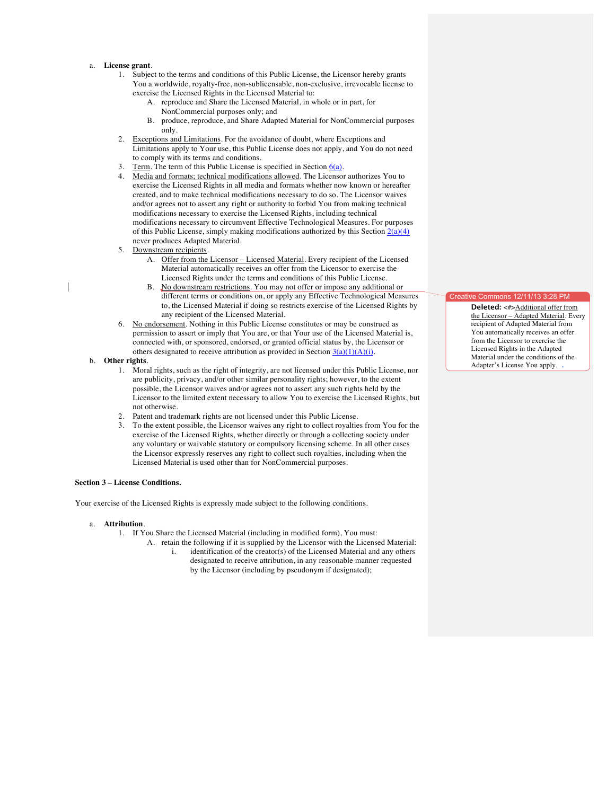#### a. **License grant**.

- 1. Subject to the terms and conditions of this Public License, the Licensor hereby grants You a worldwide, royalty-free, non-sublicensable, non-exclusive, irrevocable license to exercise the Licensed Rights in the Licensed Material to:
	- A. reproduce and Share the Licensed Material, in whole or in part, for NonCommercial purposes only; and
	- B. produce, reproduce, and Share Adapted Material for NonCommercial purposes only.
- 2. Exceptions and Limitations. For the avoidance of doubt, where Exceptions and Limitations apply to Your use, this Public License does not apply, and You do not need to comply with its terms and conditions.
- 3. Term. The term of this Public License is specified in Section  $6(a)$ .
- 4. Media and formats; technical modifications allowed. The Licensor authorizes You to exercise the Licensed Rights in all media and formats whether now known or hereafter created, and to make technical modifications necessary to do so. The Licensor waives and/or agrees not to assert any right or authority to forbid You from making technical modifications necessary to exercise the Licensed Rights, including technical modifications necessary to circumvent Effective Technological Measures. For purposes of this Public License, simply making modifications authorized by this Section  $2(a)(4)$ never produces Adapted Material.
- 5. Downstream recipients.
	- A. Offer from the Licensor Licensed Material. Every recipient of the Licensed Material automatically receives an offer from the Licensor to exercise the Licensed Rights under the terms and conditions of this Public License.
	- B. No downstream restrictions. You may not offer or impose any additional or different terms or conditions on, or apply any Effective Technological Measures to, the Licensed Material if doing so restricts exercise of the Licensed Rights by any recipient of the Licensed Material.
- 6. No endorsement. Nothing in this Public License constitutes or may be construed as permission to assert or imply that You are, or that Your use of the Licensed Material is, connected with, or sponsored, endorsed, or granted official status by, the Licensor or others designated to receive attribution as provided in Section  $\frac{3(a)(1)(A)(i)}{i}$ .
- b. **Other rights**.
	- 1. Moral rights, such as the right of integrity, are not licensed under this Public License, nor are publicity, privacy, and/or other similar personality rights; however, to the extent possible, the Licensor waives and/or agrees not to assert any such rights held by the Licensor to the limited extent necessary to allow You to exercise the Licensed Rights, but not otherwise.
	- 2. Patent and trademark rights are not licensed under this Public License.
	- 3. To the extent possible, the Licensor waives any right to collect royalties from You for the exercise of the Licensed Rights, whether directly or through a collecting society under any voluntary or waivable statutory or compulsory licensing scheme. In all other cases the Licensor expressly reserves any right to collect such royalties, including when the Licensed Material is used other than for NonCommercial purposes.

#### **Section 3 – License Conditions.**

Your exercise of the Licensed Rights is expressly made subject to the following conditions.

- a. **Attribution**.
	- 1. If You Share the Licensed Material (including in modified form), You must:
		- A. retain the following if it is supplied by the Licensor with the Licensed Material: i. identification of the creator(s) of the Licensed Material and any others designated to receive attribution, in any reasonable manner requested by the Licensor (including by pseudonym if designated);

#### Creative Commons 12/11/13 3:28

**Deleted:** <#>Additional offer from the Licensor – Adapted Material. Every recipient of Adapted Material from You automatically receives an offer from the Licensor to exercise the Licensed Rights in the Adapted Material under the conditions of the Adapter's License You apply.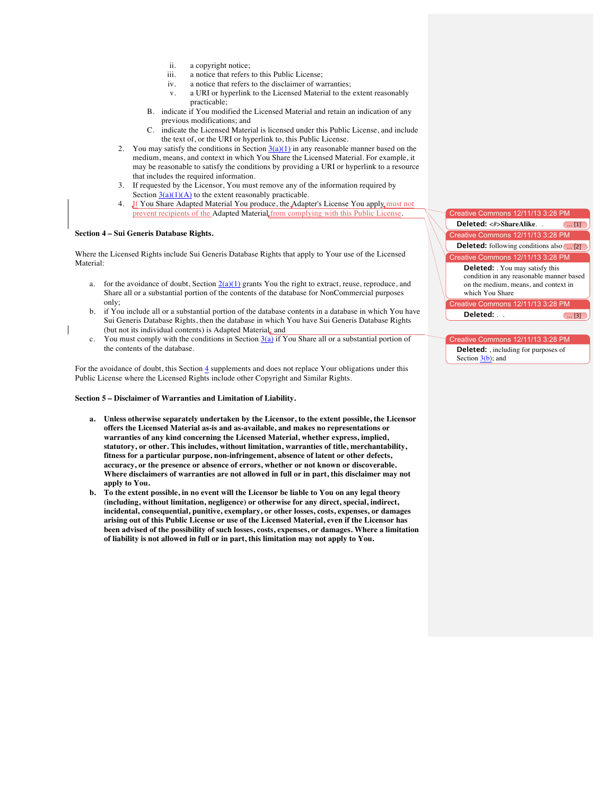- ii. a copyright notice;
- iii. a notice that refers to this Public License;
- iv. a notice that refers to the disclaimer of warranties;
- v. a URI or hyperlink to the Licensed Material to the extent reasonably practicable;
- B. indicate if You modified the Licensed Material and retain an indication of any previous modifications; and
- C. indicate the Licensed Material is licensed under this Public License, and include the text of, or the URI or hyperlink to, this Public License.
- 2. You may satisfy the conditions in Section  $3(a)(1)$  in any reasonable manner based on the medium, means, and context in which You Share the Licensed Material. For example, it may be reasonable to satisfy the conditions by providing a URI or hyperlink to a resource that includes the required information.
- 3. If requested by the Licensor, You must remove any of the information required by Section  $3(a)(1)(A)$  to the extent reasonably practicable.
- 4. If You Share Adapted Material You produce, the Adapter's License You apply must not prevent recipients of the Adapted Material from complying with this Public License.

#### **Section 4 – Sui Generis Database Rights.**

Where the Licensed Rights include Sui Generis Database Rights that apply to Your use of the Licensed Material:

- a. for the avoidance of doubt, Section  $2(a)(1)$  grants You the right to extract, reuse, reproduce, and Share all or a substantial portion of the contents of the database for NonCommercial purposes only;
- b. if You include all or a substantial portion of the database contents in a database in which You have Sui Generis Database Rights, then the database in which You have Sui Generis Database Rights (but not its individual contents) is Adapted Material; and
- c. You must comply with the conditions in Section  $3(a)$  if You Share all or a substantial portion of the contents of the database.

For the avoidance of doubt, this Section 4 supplements and does not replace Your obligations under this Public License where the Licensed Rights include other Copyright and Similar Rights.

**Section 5 – Disclaimer of Warranties and Limitation of Liability.**

- **a. Unless otherwise separately undertaken by the Licensor, to the extent possible, the Licensor offers the Licensed Material as-is and as-available, and makes no representations or warranties of any kind concerning the Licensed Material, whether express, implied, statutory, or other. This includes, without limitation, warranties of title, merchantability, fitness for a particular purpose, non-infringement, absence of latent or other defects, accuracy, or the presence or absence of errors, whether or not known or discoverable. Where disclaimers of warranties are not allowed in full or in part, this disclaimer may not apply to You.**
- **b. To the extent possible, in no event will the Licensor be liable to You on any legal theory (including, without limitation, negligence) or otherwise for any direct, special, indirect, incidental, consequential, punitive, exemplary, or other losses, costs, expenses, or damages arising out of this Public License or use of the Licensed Material, even if the Licensor has been advised of the possibility of such losses, costs, expenses, or damages. Where a limitation of liability is not allowed in full or in part, this limitation may not apply to You.**

Creative Commons 12/11/13 **Deleted:** <#>ShareAlike. ... (... [1] reative Commons 12/11/13 3:28 PM **Deleted:** following conditions also **....** [2] Creative Commons 12/11/13 3:28 PM **Deleted:** . You may satisfy this condition in any reasonable manner based on the medium, means, and context in which You Share Creative Commons 12/11/13 3:28 PM **Deleted:** . ... [3]

# Creative Commons 12/11/13 3:28 PM

**Deleted:** , including for purposes of Section  $3(b)$ ; and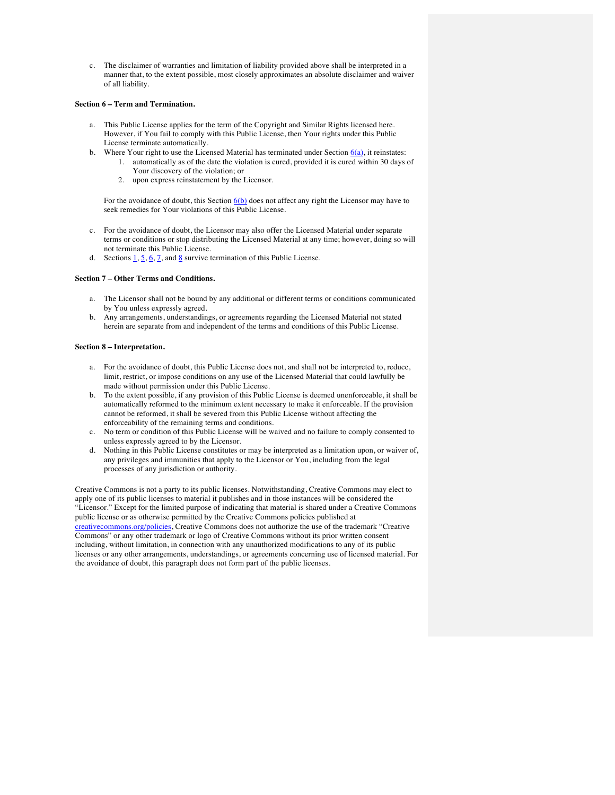c. The disclaimer of warranties and limitation of liability provided above shall be interpreted in a manner that, to the extent possible, most closely approximates an absolute disclaimer and waiver of all liability.

### **Section 6 – Term and Termination.**

- a. This Public License applies for the term of the Copyright and Similar Rights licensed here. However, if You fail to comply with this Public License, then Your rights under this Public License terminate automatically.
- b. Where Your right to use the Licensed Material has terminated under Section  $6(a)$ , it reinstates:
	- 1. automatically as of the date the violation is cured, provided it is cured within 30 days of Your discovery of the violation; or
	- 2. upon express reinstatement by the Licensor.

For the avoidance of doubt, this Section  $6(b)$  does not affect any right the Licensor may have to seek remedies for Your violations of this Public License.

- c. For the avoidance of doubt, the Licensor may also offer the Licensed Material under separate terms or conditions or stop distributing the Licensed Material at any time; however, doing so will not terminate this Public License.
- d. Sections  $\underline{1}, \underline{5}, \underline{6}, \underline{7}$ , and  $\underline{8}$  survive termination of this Public License.

#### **Section 7 – Other Terms and Conditions.**

- a. The Licensor shall not be bound by any additional or different terms or conditions communicated by You unless expressly agreed.
- b. Any arrangements, understandings, or agreements regarding the Licensed Material not stated herein are separate from and independent of the terms and conditions of this Public License.

#### **Section 8 – Interpretation.**

- a. For the avoidance of doubt, this Public License does not, and shall not be interpreted to, reduce, limit, restrict, or impose conditions on any use of the Licensed Material that could lawfully be made without permission under this Public License.
- b. To the extent possible, if any provision of this Public License is deemed unenforceable, it shall be automatically reformed to the minimum extent necessary to make it enforceable. If the provision cannot be reformed, it shall be severed from this Public License without affecting the enforceability of the remaining terms and conditions.
- c. No term or condition of this Public License will be waived and no failure to comply consented to unless expressly agreed to by the Licensor.
- d. Nothing in this Public License constitutes or may be interpreted as a limitation upon, or waiver of, any privileges and immunities that apply to the Licensor or You, including from the legal processes of any jurisdiction or authority.

Creative Commons is not a party to its public licenses. Notwithstanding, Creative Commons may elect to apply one of its public licenses to material it publishes and in those instances will be considered the "Licensor." Except for the limited purpose of indicating that material is shared under a Creative Commons public license or as otherwise permitted by the Creative Commons policies published at creativecommons.org/policies, Creative Commons does not authorize the use of the trademark "Creative Commons" or any other trademark or logo of Creative Commons without its prior written consent including, without limitation, in connection with any unauthorized modifications to any of its public licenses or any other arrangements, understandings, or agreements concerning use of licensed material. For the avoidance of doubt, this paragraph does not form part of the public licenses.